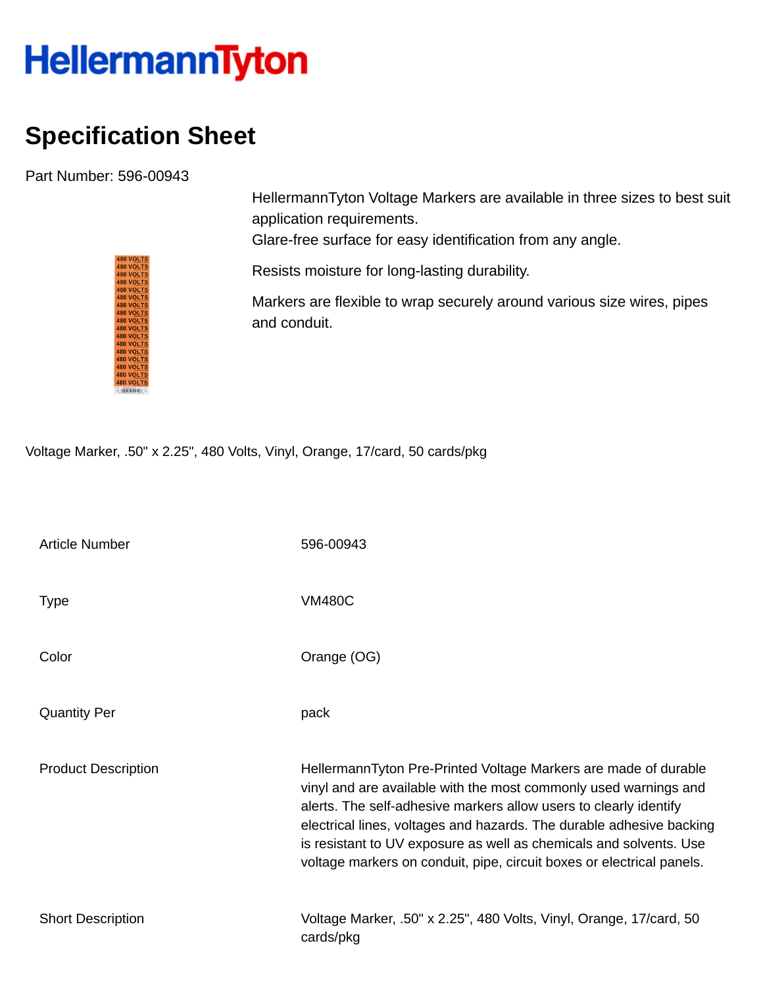## **HellermannTyton**

## **Specification Sheet**

Part Number: 596-00943

HellermannTyton Voltage Markers are available in three sizes to best suit application requirements.

Glare-free surface for easy identification from any angle.

Resists moisture for long-lasting durability.

Markers are flexible to wrap securely around various size wires, pipes and conduit.

Voltage Marker, .50" x 2.25", 480 Volts, Vinyl, Orange, 17/card, 50 cards/pkg

| <b>Article Number</b>      | 596-00943                                                                                                                                                                                                                                                                                                                                                                                                                       |
|----------------------------|---------------------------------------------------------------------------------------------------------------------------------------------------------------------------------------------------------------------------------------------------------------------------------------------------------------------------------------------------------------------------------------------------------------------------------|
| <b>Type</b>                | <b>VM480C</b>                                                                                                                                                                                                                                                                                                                                                                                                                   |
| Color                      | Orange (OG)                                                                                                                                                                                                                                                                                                                                                                                                                     |
| <b>Quantity Per</b>        | pack                                                                                                                                                                                                                                                                                                                                                                                                                            |
| <b>Product Description</b> | HellermannTyton Pre-Printed Voltage Markers are made of durable<br>vinyl and are available with the most commonly used warnings and<br>alerts. The self-adhesive markers allow users to clearly identify<br>electrical lines, voltages and hazards. The durable adhesive backing<br>is resistant to UV exposure as well as chemicals and solvents. Use<br>voltage markers on conduit, pipe, circuit boxes or electrical panels. |
| <b>Short Description</b>   | Voltage Marker, .50" x 2.25", 480 Volts, Vinyl, Orange, 17/card, 50<br>cards/pkg                                                                                                                                                                                                                                                                                                                                                |

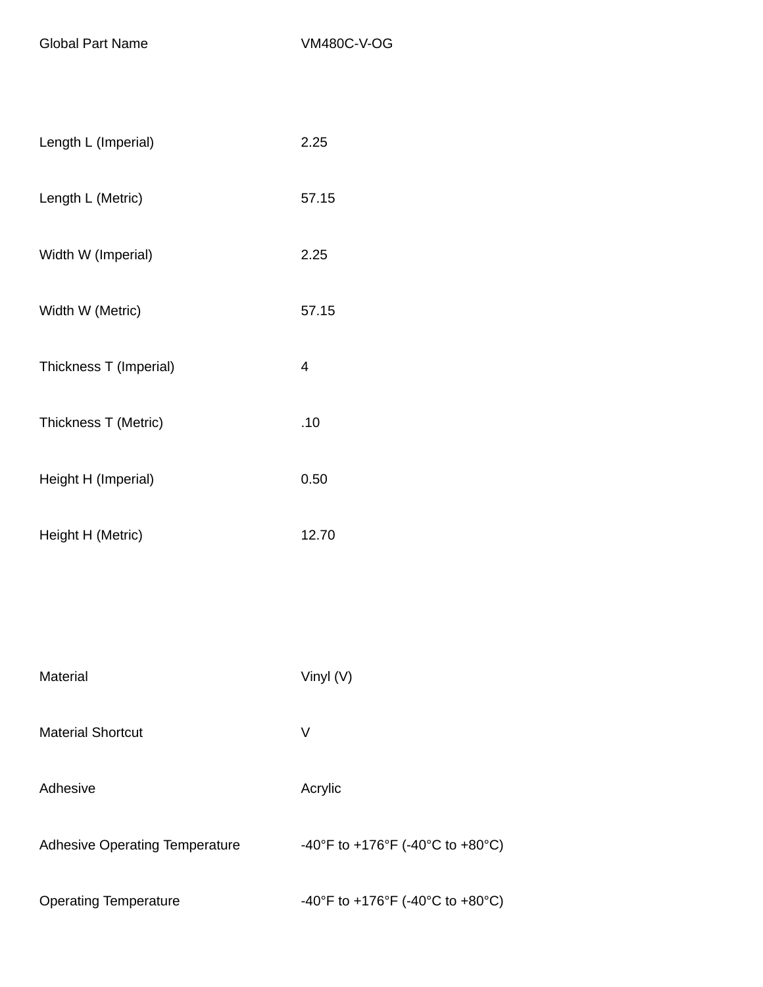Global Part Name VM480C-V-OG

| Length L (Imperial)                   | 2.25                             |
|---------------------------------------|----------------------------------|
| Length L (Metric)                     | 57.15                            |
| Width W (Imperial)                    | 2.25                             |
| Width W (Metric)                      | 57.15                            |
| Thickness T (Imperial)                | 4                                |
| Thickness T (Metric)                  | .10                              |
| Height H (Imperial)                   | 0.50                             |
| Height H (Metric)                     | 12.70                            |
|                                       |                                  |
|                                       |                                  |
| Material                              | Vinyl (V)                        |
| <b>Material Shortcut</b>              | V                                |
| Adhesive                              | Acrylic                          |
| <b>Adhesive Operating Temperature</b> | -40°F to +176°F (-40°C to +80°C) |
| <b>Operating Temperature</b>          | -40°F to +176°F (-40°C to +80°C) |